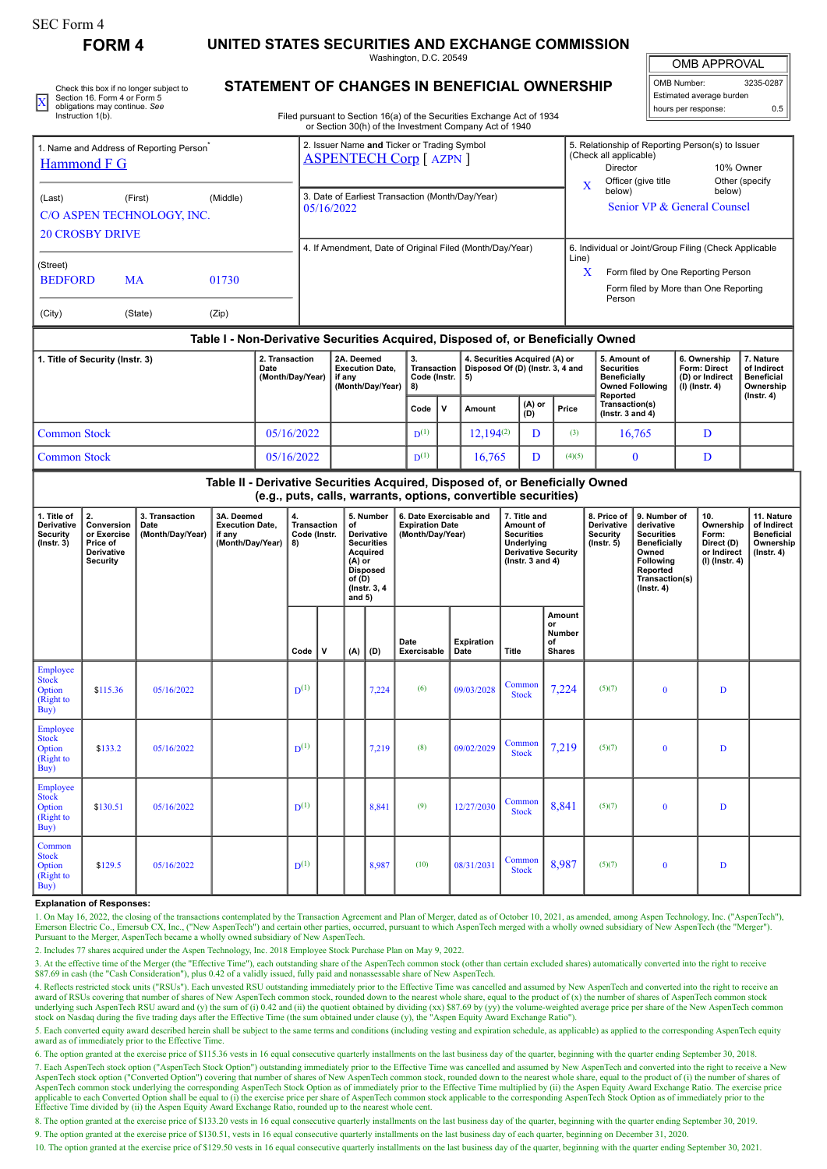**FORM 4 UNITED STATES SECURITIES AND EXCHANGE COMMISSION**

Washington, D.C. 20549

OMB APPROVAL

OMB Number: 3235-0287 Estimated average burden

|  | Check this box if no longer subject to             | STATEMENT OF CHANGES IN BENEFICIAL OWNERSHIP                           | OMB Number:              | 3235-0287 |  |
|--|----------------------------------------------------|------------------------------------------------------------------------|--------------------------|-----------|--|
|  | Section 16. Form 4 or Form 5                       |                                                                        | Estimated average burden |           |  |
|  | obligations may continue. See<br>Instruction 1(b). | Filed pursuant to Section 16(a) of the Securities Exchange Act of 1934 | I hours per response:    | 0.5       |  |
|  |                                                    |                                                                        |                          |           |  |

## **STATEMENT OF CHANGES IN BENEFICIAL OWNERSHIP**

Filed pursuant to Section 16(a) of the Securities Exchange Act of 1934 or Section 30(h) of the Investment Company Act of 1940

| 1. Name and Address of Reporting Person <sup>®</sup><br><b>Hammond F G</b><br>(Last)<br><b>20 CROSBY DRIVE</b> | (First)<br>C/O ASPEN TECHNOLOGY, INC.                                            | (Middle)       | 05/16/2022 | 2. Issuer Name and Ticker or Trading Symbol<br><b>ASPENTECH Corp [ AZPN ]</b><br>3. Date of Earliest Transaction (Month/Day/Year) |                                                   |   |                                                                                                    | $\mathbf{x}$ | 5. Relationship of Reporting Person(s) to Issuer<br>(Check all applicable)<br>10% Owner<br>Director<br>Officer (give title<br>Other (specify<br>below)<br>below)<br>Senior VP & General Counsel |                                                                                                                                            |                                                                          |                                                                                |
|----------------------------------------------------------------------------------------------------------------|----------------------------------------------------------------------------------|----------------|------------|-----------------------------------------------------------------------------------------------------------------------------------|---------------------------------------------------|---|----------------------------------------------------------------------------------------------------|--------------|-------------------------------------------------------------------------------------------------------------------------------------------------------------------------------------------------|--------------------------------------------------------------------------------------------------------------------------------------------|--------------------------------------------------------------------------|--------------------------------------------------------------------------------|
| (Street)<br><b>BEDFORD</b><br>(City)                                                                           | <b>MA</b><br>(State)                                                             | 01730<br>(Zip) |            | 4. If Amendment, Date of Original Filed (Month/Day/Year)                                                                          |                                                   |   |                                                                                                    | Line)<br>x   | 6. Individual or Joint/Group Filing (Check Applicable<br>Form filed by One Reporting Person<br>Form filed by More than One Reporting<br>Person                                                  |                                                                                                                                            |                                                                          |                                                                                |
|                                                                                                                | Table I - Non-Derivative Securities Acquired, Disposed of, or Beneficially Owned |                |            |                                                                                                                                   |                                                   |   |                                                                                                    |              |                                                                                                                                                                                                 |                                                                                                                                            |                                                                          |                                                                                |
| 2. Transaction<br>1. Title of Security (Instr. 3)<br>Date<br>(Month/Day/Year)                                  |                                                                                  |                |            | 2A Deemed<br><b>Execution Date.</b><br>if anv<br>(Month/Day/Year)                                                                 | 3.<br>Transaction<br>Code (Instr.  <br>8)<br>Code | v | 4. Securities Acquired (A) or<br>Disposed Of (D) (Instr. 3, 4 and<br>5)<br>(A) or<br>Amount<br>(D) |              | Price                                                                                                                                                                                           | 5. Amount of<br><b>Securities</b><br><b>Beneficially</b><br><b>Owned Following</b><br>Reported<br>Transaction(s)<br>$($ lnstr. 3 and 4 $)$ | 6. Ownership<br><b>Form: Direct</b><br>(D) or Indirect<br>(I) (Instr. 4) | 7. Nature<br>of Indirect<br><b>Beneficial</b><br>Ownership<br>$($ Instr. 4 $)$ |

|                                                                               |            |  | $- - - -$ |  | .              | (D) | .      | l (Instr. 3 and 4) |  |  |
|-------------------------------------------------------------------------------|------------|--|-----------|--|----------------|-----|--------|--------------------|--|--|
| Common Stock                                                                  | 05/16/2022 |  | $D^{(1)}$ |  | $12.194^{(2)}$ |     | (3)    | 16.765             |  |  |
| <b>Common Stock</b>                                                           | 05/16/2022 |  | $D^{(1)}$ |  | 16.765         |     | (4)(5) |                    |  |  |
| Table II - Derivative Securities Acquired, Disposed of, or Beneficially Owned |            |  |           |  |                |     |        |                    |  |  |

**(e.g., puts, calls, warrants, options, convertible securities)**

| 1. Title of<br>Derivative<br>Security<br>$($ lnstr. $3)$     | 2.<br>Conversion<br>or Exercise<br>Price of<br>Derivative<br>Security | 3. Transaction<br>Date<br>(Month/Day/Year) | 3A. Deemed<br><b>Execution Date,</b><br>if any<br>(Month/Day/Year) | 4.<br>Transaction<br>Code (Instr.<br>8) |             | of<br>$(A)$ or<br>of $(D)$<br>and $5)$ | 5. Number<br>Derivative<br><b>Securities</b><br>Acquired<br><b>Disposed</b><br>(Instr. 3, 4) | 6. Date Exercisable and<br><b>Expiration Date</b><br>(Month/Day/Year) |                           | 7. Title and<br>Amount of<br><b>Securities</b><br>Underlying<br><b>Derivative Security</b><br>$($ Instr. 3 and 4 $)$ |                                                      | 8. Price of<br>Derivative<br><b>Security</b><br>$($ lnstr. $5)$ | 9. Number of<br>derivative<br><b>Securities</b><br><b>Beneficially</b><br>Owned<br>Following<br>Reported<br>Transaction(s)<br>$($ Instr. 4 $)$ | 10.<br>Ownership<br>Form:<br>Direct (D)<br>or Indirect<br>(I) (Instr. 4) | 11. Nature<br>of Indirect<br><b>Beneficial</b><br>Ownership<br>$($ lnstr. 4 $)$ |
|--------------------------------------------------------------|-----------------------------------------------------------------------|--------------------------------------------|--------------------------------------------------------------------|-----------------------------------------|-------------|----------------------------------------|----------------------------------------------------------------------------------------------|-----------------------------------------------------------------------|---------------------------|----------------------------------------------------------------------------------------------------------------------|------------------------------------------------------|-----------------------------------------------------------------|------------------------------------------------------------------------------------------------------------------------------------------------|--------------------------------------------------------------------------|---------------------------------------------------------------------------------|
|                                                              |                                                                       |                                            |                                                                    | Code                                    | $\mathbf v$ | (A)                                    | (D)                                                                                          | Date<br>Exercisable                                                   | <b>Expiration</b><br>Date | Title                                                                                                                | Amount<br>or<br><b>Number</b><br>of<br><b>Shares</b> |                                                                 |                                                                                                                                                |                                                                          |                                                                                 |
| Employee<br><b>Stock</b><br>Option<br>(Right to<br>Buy)      | \$115.36                                                              | 05/16/2022                                 |                                                                    | $D^{(1)}$                               |             |                                        | 7,224                                                                                        | (6)                                                                   | 09/03/2028                | Common<br><b>Stock</b>                                                                                               | 7,224                                                | (5)(7)                                                          | $\bf{0}$                                                                                                                                       | D                                                                        |                                                                                 |
| Employee<br><b>Stock</b><br>Option<br>(Right to<br>Buy)      | \$133.2                                                               | 05/16/2022                                 |                                                                    | $D^{(1)}$                               |             |                                        | 7,219                                                                                        | (8)                                                                   | 09/02/2029                | Common<br><b>Stock</b>                                                                                               | 7,219                                                | (5)(7)                                                          | $\bf{0}$                                                                                                                                       | D                                                                        |                                                                                 |
| Employee<br><b>Stock</b><br>Option<br>(Right to<br>Buy)      | \$130.51                                                              | 05/16/2022                                 |                                                                    | $D^{(1)}$                               |             |                                        | 8,841                                                                                        | (9)                                                                   | 12/27/2030                | Common<br><b>Stock</b>                                                                                               | 8,841                                                | (5)(7)                                                          | $\bf{0}$                                                                                                                                       | D                                                                        |                                                                                 |
| Common<br><b>Stock</b><br><b>Option</b><br>(Right to<br>Buy) | \$129.5                                                               | 05/16/2022                                 |                                                                    | $D^{(1)}$                               |             |                                        | 8,987                                                                                        | (10)                                                                  | 08/31/2031                | Common<br><b>Stock</b>                                                                                               | 8,987                                                | (5)(7)                                                          | $\bf{0}$                                                                                                                                       | D                                                                        |                                                                                 |

## **Explanation of Responses:**

1. On May 16, 2022, the closing of the transactions contemplated by the Transaction Agreement and Plan of Merger, dated as of October 10, 2021, as amended, among Aspen Technology, Inc. ("AspenTech"), Emerson Electric Co., Emersub CX, Inc., ("New AspenTech") and certain other parties, occurred, pursuant to which AspenTech merged with a wholly owned subsidiary of New AspenTech (the "Merger"). Pursuant to the Merger, AspenTech became a wholly owned subsidiary of New AspenTech.

2. Includes 77 shares acquired under the Aspen Technology, Inc. 2018 Employee Stock Purchase Plan on May 9, 2022.

3. At the effective time of the Merger (the "Effective Time"), each outstanding share of the AspenTech common stock (other than certain excluded shares) automatically converted into the right to receive \$87.69 in cash (the "Cash Consideration"), plus 0.42 of a validly issued, fully paid and nonassessable share of New AspenTech.

4. Reflects restricted stock units ("RSUs"). Each unvested RSU outstanding immediately prior to the Effective Time was cancelled and assumed by New AspenTech and converted into the right to receive an<br>award of RSUs coverin underlying such AspenTech RSU award and (y) the sum of (i) 0.42 and (ii) the quotient obtained by dividing (xx) \$87.69 by (yy) the volume-weighted average price per share of the New AspenTech common<br>stock on Nasdaq during

5. Each converted equity award described herein shall be subject to the same terms and conditions (including vesting and expiration schedule, as applicable) as applied to the corresponding AspenTech equity award as of immediately prior to the Effective Time.

6. The option granted at the exercise price of \$115.36 vests in 16 equal consecutive quarterly installments on the last business day of the quarter, beginning with the quarter ending September 30, 2018.

7. Each AspenTech stock option ("AspenTech Stock Option") outstanding immediately prior to the Effective Time was cancelled and assumed by New AspenTech and converted into the right to receive a New AspenTech stock option ("Converted Option") covering that number of shares of New AspenTech common stock, rounded down to the nearest whole share, equal to the product of (i) the number of shares of New AspenTech Stock Opt

8. The option granted at the exercise price of \$133.20 vests in 16 equal consecutive quarterly installments on the last business day of the quarter, beginning with the quarter ending September 30, 2019.

9. The option granted at the exercise price of \$130.51, vests in 16 equal consecutive quarterly installments on the last business day of each quarter, beginning on December 31, 2020.

10. The option granted at the exercise price of \$129.50 vests in 16 equal consecutive quarterly installments on the last business day of the quarter, beginning with the quarter ending September 30, 2021.